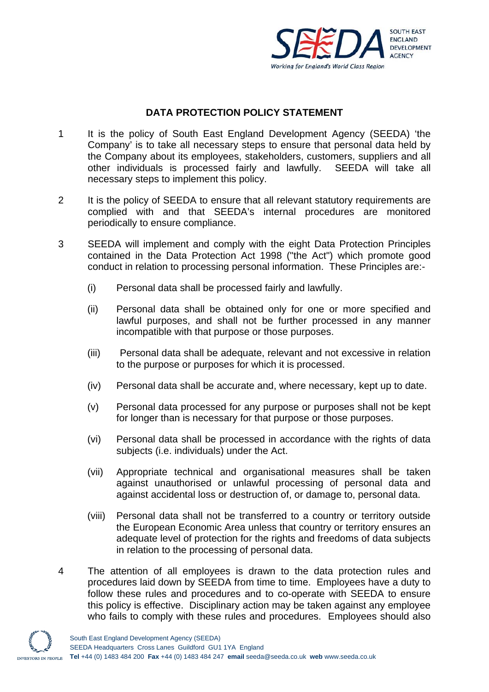

## **DATA PROTECTION POLICY STATEMENT**

- 1 It is the policy of South East England Development Agency (SEEDA) 'the Company' is to take all necessary steps to ensure that personal data held by the Company about its employees, stakeholders, customers, suppliers and all other individuals is processed fairly and lawfully. SEEDA will take all necessary steps to implement this policy.
- 2 It is the policy of SEEDA to ensure that all relevant statutory requirements are complied with and that SEEDA's internal procedures are monitored periodically to ensure compliance.
- 3 SEEDA will implement and comply with the eight Data Protection Principles contained in the Data Protection Act 1998 ("the Act") which promote good conduct in relation to processing personal information. These Principles are:-
	- (i) Personal data shall be processed fairly and lawfully.
	- (ii) Personal data shall be obtained only for one or more specified and lawful purposes, and shall not be further processed in any manner incompatible with that purpose or those purposes.
	- (iii) Personal data shall be adequate, relevant and not excessive in relation to the purpose or purposes for which it is processed.
	- (iv) Personal data shall be accurate and, where necessary, kept up to date.
	- (v) Personal data processed for any purpose or purposes shall not be kept for longer than is necessary for that purpose or those purposes.
	- (vi) Personal data shall be processed in accordance with the rights of data subjects (i.e. individuals) under the Act.
	- (vii) Appropriate technical and organisational measures shall be taken against unauthorised or unlawful processing of personal data and against accidental loss or destruction of, or damage to, personal data.
	- (viii) Personal data shall not be transferred to a country or territory outside the European Economic Area unless that country or territory ensures an adequate level of protection for the rights and freedoms of data subjects in relation to the processing of personal data.
- 4 The attention of all employees is drawn to the data protection rules and procedures laid down by SEEDA from time to time. Employees have a duty to follow these rules and procedures and to co-operate with SEEDA to ensure this policy is effective. Disciplinary action may be taken against any employee who fails to comply with these rules and procedures. Employees should also